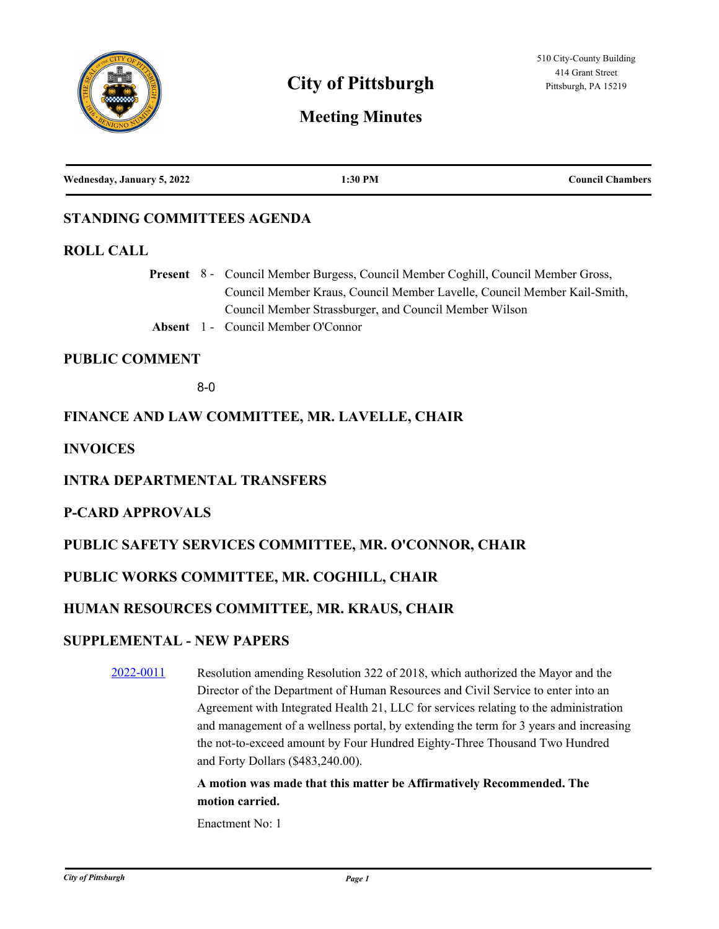

# **City of Pittsburgh Pittsburgh Pittsburgh, PA 15219**

# **Meeting Minutes**

| Wednesday, January 5, 2022 | :30 PM | <b>Council Chambers</b> |
|----------------------------|--------|-------------------------|
|                            |        |                         |

# **STANDING COMMITTEES AGENDA**

#### **ROLL CALL**

Present 8 - Council Member Burgess, Council Member Coghill, Council Member Gross, Council Member Kraus, Council Member Lavelle, Council Member Kail-Smith, Council Member Strassburger, and Council Member Wilson

**Absent** 1 - Council Member O'Connor

#### **PUBLIC COMMENT**

8-0

## **FINANCE AND LAW COMMITTEE, MR. LAVELLE, CHAIR**

**INVOICES**

## **INTRA DEPARTMENTAL TRANSFERS**

## **P-CARD APPROVALS**

# **PUBLIC SAFETY SERVICES COMMITTEE, MR. O'CONNOR, CHAIR**

## **PUBLIC WORKS COMMITTEE, MR. COGHILL, CHAIR**

# **HUMAN RESOURCES COMMITTEE, MR. KRAUS, CHAIR**

## **SUPPLEMENTAL - NEW PAPERS**

[2022-0011](http://pittsburgh.legistar.com/gateway.aspx?m=l&id=/matter.aspx?key=27301) Resolution amending Resolution 322 of 2018, which authorized the Mayor and the Director of the Department of Human Resources and Civil Service to enter into an Agreement with Integrated Health 21, LLC for services relating to the administration and management of a wellness portal, by extending the term for 3 years and increasing the not-to-exceed amount by Four Hundred Eighty-Three Thousand Two Hundred and Forty Dollars (\$483,240.00).

# **A motion was made that this matter be Affirmatively Recommended. The motion carried.**

Enactment No: 1